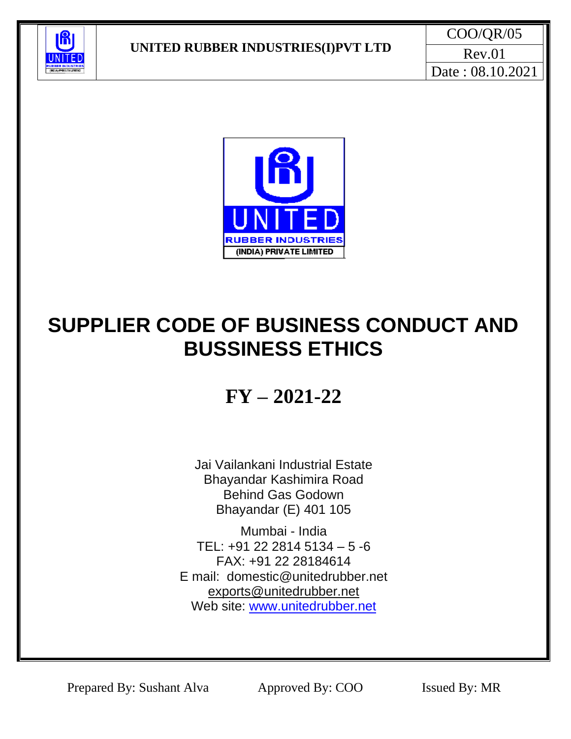

COO/QR/05 Rev.01 Date : 08.10.2021



# **SUPPLIER CODE OF BUSINESS CONDUCT AND BUSSINESS ETHICS**

# **FY – 2021-22**

Jai Vailankani Industrial Estate Bhayandar Kashimira Road Behind Gas Godown Bhayandar (E) 401 105

Mumbai - India TEL: +91 22 2814 5134 – 5 -6 FAX: +91 22 28184614 E mail: domestic@unitedrubber.net [exports@unitedrubber.net](mailto:exports@unitedrubber.net) Web site: [www.unitedrubber.net](http://www.unitedrubber.net/)

Prepared By: Sushant Alva Approved By: COO Issued By: MR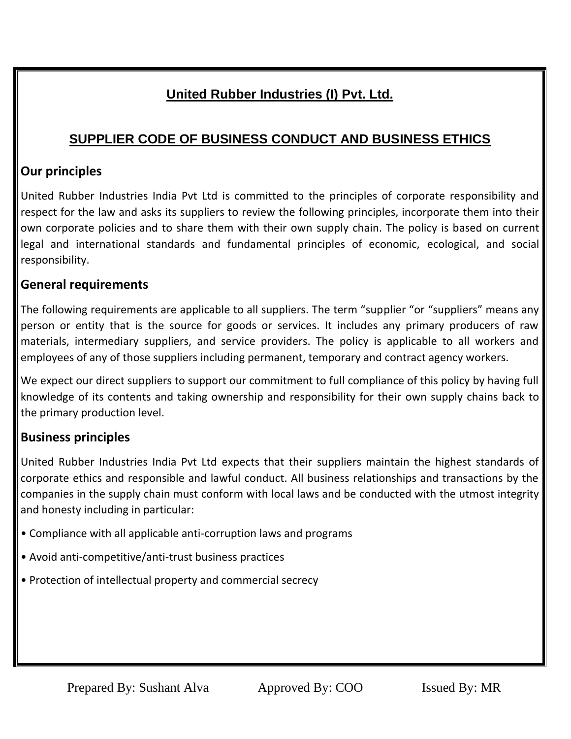# **United Rubber Industries (I) Pvt. Ltd.**

## **SUPPLIER CODE OF BUSINESS CONDUCT AND BUSINESS ETHICS**

#### **Our principles**

United Rubber Industries India Pvt Ltd is committed to the principles of corporate responsibility and respect for the law and asks its suppliers to review the following principles, incorporate them into their own corporate policies and to share them with their own supply chain. The policy is based on current legal and international standards and fundamental principles of economic, ecological, and social responsibility.

#### **General requirements**

The following requirements are applicable to all suppliers. The term "supplier "or "suppliers" means any person or entity that is the source for goods or services. It includes any primary producers of raw materials, intermediary suppliers, and service providers. The policy is applicable to all workers and employees of any of those suppliers including permanent, temporary and contract agency workers.

We expect our direct suppliers to support our commitment to full compliance of this policy by having full knowledge of its contents and taking ownership and responsibility for their own supply chains back to the primary production level.

#### **Business principles**

United Rubber Industries India Pvt Ltd expects that their suppliers maintain the highest standards of corporate ethics and responsible and lawful conduct. All business relationships and transactions by the companies in the supply chain must conform with local laws and be conducted with the utmost integrity and honesty including in particular:

- Compliance with all applicable anti-corruption laws and programs
- Avoid anti-competitive/anti-trust business practices
- Protection of intellectual property and commercial secrecy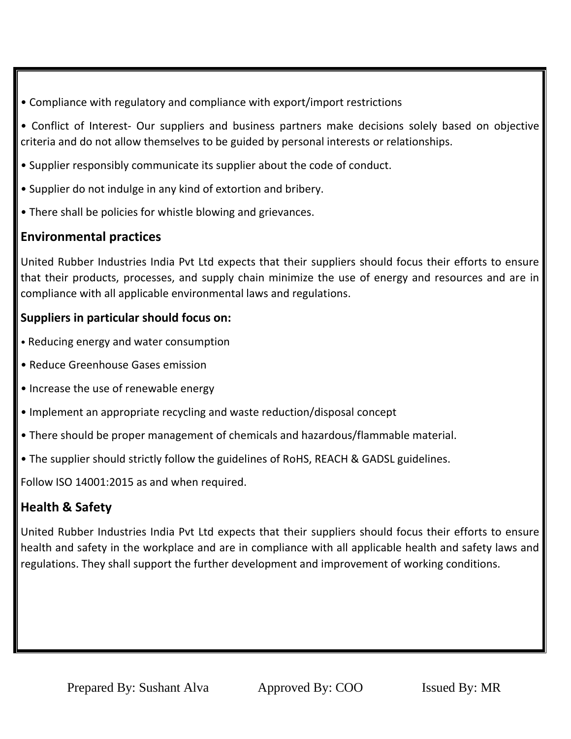- Compliance with regulatory and compliance with export/import restrictions
- Conflict of Interest- Our suppliers and business partners make decisions solely based on objective criteria and do not allow themselves to be guided by personal interests or relationships.
- Supplier responsibly communicate its supplier about the code of conduct.
- Supplier do not indulge in any kind of extortion and bribery.
- There shall be policies for whistle blowing and grievances.

#### **Environmental practices**

United Rubber Industries India Pvt Ltd expects that their suppliers should focus their efforts to ensure that their products, processes, and supply chain minimize the use of energy and resources and are in compliance with all applicable environmental laws and regulations.

#### **Suppliers in particular should focus on:**

- Reducing energy and water consumption
- Reduce Greenhouse Gases emission
- Increase the use of renewable energy
- Implement an appropriate recycling and waste reduction/disposal concept
- There should be proper management of chemicals and hazardous/flammable material.
- The supplier should strictly follow the guidelines of RoHS, REACH & GADSL guidelines.

Follow ISO 14001:2015 as and when required.

# **Health & Safety**

United Rubber Industries India Pvt Ltd expects that their suppliers should focus their efforts to ensure health and safety in the workplace and are in compliance with all applicable health and safety laws and regulations. They shall support the further development and improvement of working conditions.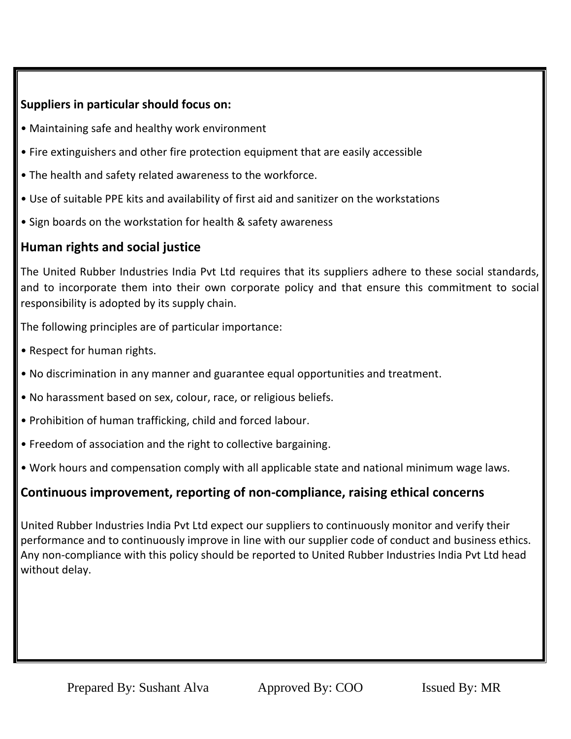#### **Suppliers in particular should focus on:**

- Maintaining safe and healthy work environment
- Fire extinguishers and other fire protection equipment that are easily accessible
- The health and safety related awareness to the workforce.
- Use of suitable PPE kits and availability of first aid and sanitizer on the workstations
- Sign boards on the workstation for health & safety awareness

#### **Human rights and social justice**

The United Rubber Industries India Pvt Ltd requires that its suppliers adhere to these social standards, and to incorporate them into their own corporate policy and that ensure this commitment to social responsibility is adopted by its supply chain.

The following principles are of particular importance:

- Respect for human rights.
- No discrimination in any manner and guarantee equal opportunities and treatment.
- No harassment based on sex, colour, race, or religious beliefs.
- Prohibition of human trafficking, child and forced labour.
- Freedom of association and the right to collective bargaining.
- Work hours and compensation comply with all applicable state and national minimum wage laws.

### **Continuous improvement, reporting of non-compliance, raising ethical concerns**

United Rubber Industries India Pvt Ltd expect our suppliers to continuously monitor and verify their performance and to continuously improve in line with our supplier code of conduct and business ethics. Any non-compliance with this policy should be reported to United Rubber Industries India Pvt Ltd head without delay.